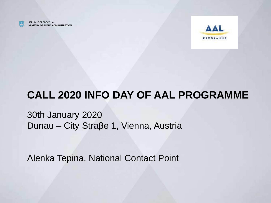

REPUBLIC OF SLOVENIA **MINISTRY OF PUBLIC ADMINISTRATION**



### **CALL 2020 INFO DAY OF AAL PROGRAMME**

30th January 2020 Dunau – City Straβe 1, Vienna, Austria

Alenka Tepina, National Contact Point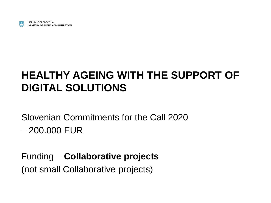

# **HEALTHY AGEING WITH THE SUPPORT OF DIGITAL SOLUTIONS**

Slovenian Commitments for the Call 2020

– 200.000 EUR

Funding – **Collaborative projects** (not small Collaborative projects)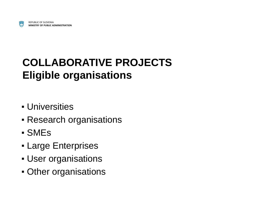

### **COLLABORATIVE PROJECTS Eligible organisations**

- **Universities**
- **Research organisations**
- SMEs
- **Large Enterprises**
- User organisations
- **Other organisations**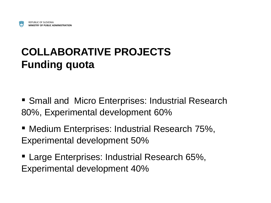# **COLLABORATIVE PROJECTS Funding quota**

- Small and Micro Enterprises: Industrial Research 80%, Experimental development 60%
- Medium Enterprises: Industrial Research 75%, Experimental development 50%
- **E.** Large Enterprises: Industrial Research 65%, Experimental development 40%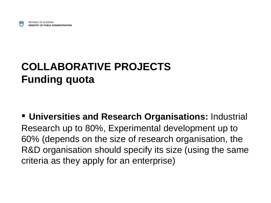

## **COLLABORATIVE PROJECTS Funding quota**

▪ **Universities and Research Organisations:** Industrial Research up to 80%, Experimental development up to 60% (depends on the size of research organisation, the R&D organisation should specify its size (using the same criteria as they apply for an enterprise)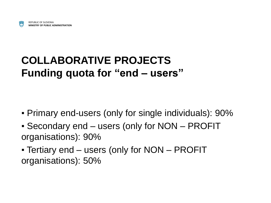#### **COLLABORATIVE PROJECTS Funding quota for "end – users"**

- Primary end-users (only for single individuals): 90%
- Secondary end users (only for NON PROFIT organisations): 90%
- Tertiary end users (only for NON PROFIT organisations): 50%